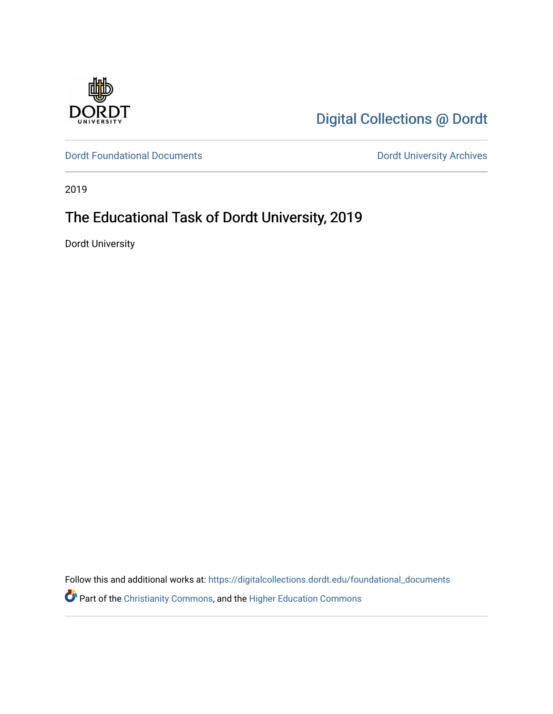

[Digital Collections @ Dordt](https://digitalcollections.dordt.edu/) 

[Dordt Foundational Documents](https://digitalcollections.dordt.edu/foundational_documents) **Dordt University Archives** 

2019

### The Educational Task of Dordt University, 2019

Dordt University

Follow this and additional works at: [https://digitalcollections.dordt.edu/foundational\\_documents](https://digitalcollections.dordt.edu/foundational_documents?utm_source=digitalcollections.dordt.edu%2Ffoundational_documents%2F9&utm_medium=PDF&utm_campaign=PDFCoverPages) 

Part of the [Christianity Commons,](http://network.bepress.com/hgg/discipline/1181?utm_source=digitalcollections.dordt.edu%2Ffoundational_documents%2F9&utm_medium=PDF&utm_campaign=PDFCoverPages) and the [Higher Education Commons](http://network.bepress.com/hgg/discipline/1245?utm_source=digitalcollections.dordt.edu%2Ffoundational_documents%2F9&utm_medium=PDF&utm_campaign=PDFCoverPages)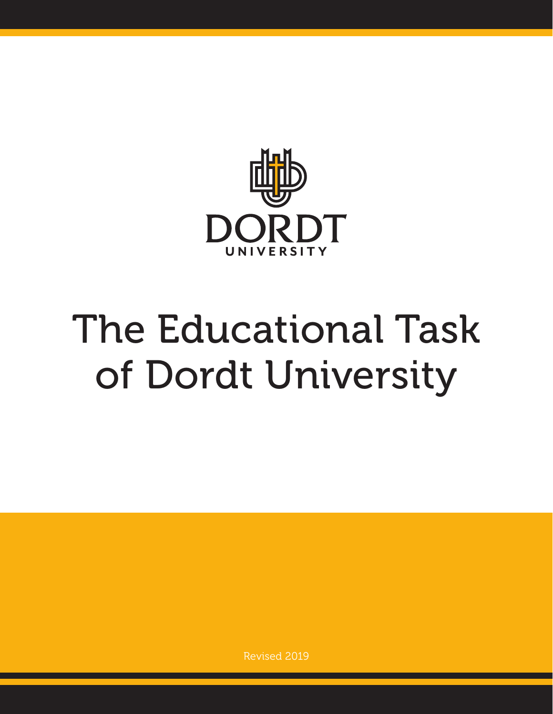

# The Educational Task of Dordt University

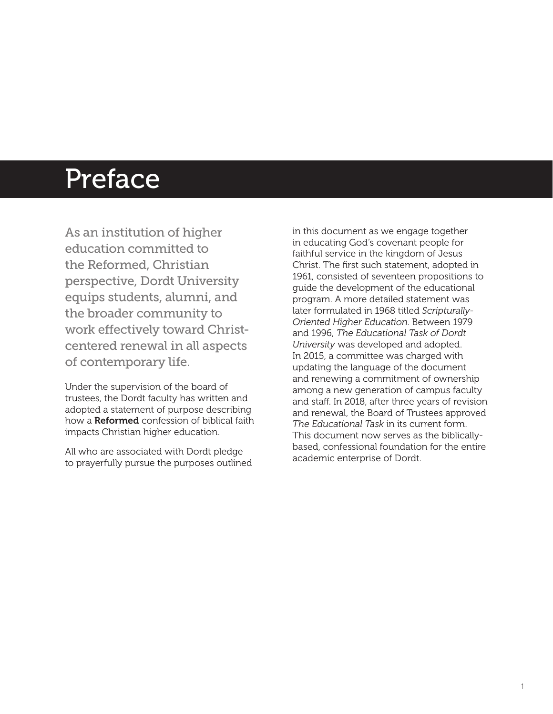### Preface

As an institution of higher education committed to the Reformed, Christian perspective, Dordt University equips students, alumni, and the broader community to work effectively toward Christcentered renewal in all aspects of contemporary life.

Under the supervision of the board of trustees, the Dordt faculty has written and adopted a statement of purpose describing how a **Reformed** confession of biblical faith impacts Christian higher education.

All who are associated with Dordt pledge to prayerfully pursue the purposes outlined in this document as we engage together in educating God's covenant people for faithful service in the kingdom of Jesus Christ. The first such statement, adopted in 1961, consisted of seventeen propositions to guide the development of the educational program. A more detailed statement was later formulated in 1968 titled *Scripturally-Oriented Higher Education*. Between 1979 and 1996, *The Educational Task of Dordt University* was developed and adopted. In 2015, a committee was charged with updating the language of the document and renewing a commitment of ownership among a new generation of campus faculty and staff. In 2018, after three years of revision and renewal, the Board of Trustees approved *The Educational Task* in its current form. This document now serves as the biblicallybased, confessional foundation for the entire academic enterprise of Dordt.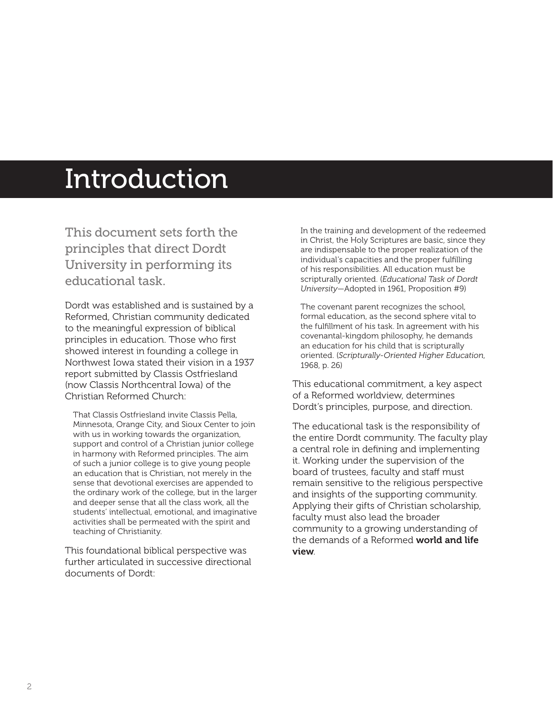### Introduction

This document sets forth the principles that direct Dordt University in performing its educational task.

Dordt was established and is sustained by a Reformed, Christian community dedicated to the meaningful expression of biblical principles in education. Those who first showed interest in founding a college in Northwest Iowa stated their vision in a 1937 report submitted by Classis Ostfriesland (now Classis Northcentral Iowa) of the Christian Reformed Church:

That Classis Ostfriesland invite Classis Pella, Minnesota, Orange City, and Sioux Center to join with us in working towards the organization, support and control of a Christian junior college in harmony with Reformed principles. The aim of such a junior college is to give young people an education that is Christian, not merely in the sense that devotional exercises are appended to the ordinary work of the college, but in the larger and deeper sense that all the class work, all the students' intellectual, emotional, and imaginative activities shall be permeated with the spirit and teaching of Christianity.

This foundational biblical perspective was further articulated in successive directional documents of Dordt:

In the training and development of the redeemed in Christ, the Holy Scriptures are basic, since they are indispensable to the proper realization of the individual's capacities and the proper fulfilling of his responsibilities. All education must be scripturally oriented. (*Educational Task of Dordt University*—Adopted in 1961, Proposition #9)

The covenant parent recognizes the school, formal education, as the second sphere vital to the fulfillment of his task. In agreement with his covenantal-kingdom philosophy, he demands an education for his child that is scripturally oriented. (*Scripturally-Oriented Higher Education*, 1968, p. 26)

This educational commitment, a key aspect of a Reformed worldview, determines Dordt's principles, purpose, and direction.

The educational task is the responsibility of the entire Dordt community. The faculty play a central role in defining and implementing it. Working under the supervision of the board of trustees, faculty and staff must remain sensitive to the religious perspective and insights of the supporting community. Applying their gifts of Christian scholarship, faculty must also lead the broader community to a growing understanding of the demands of a Reformed **world and life** view.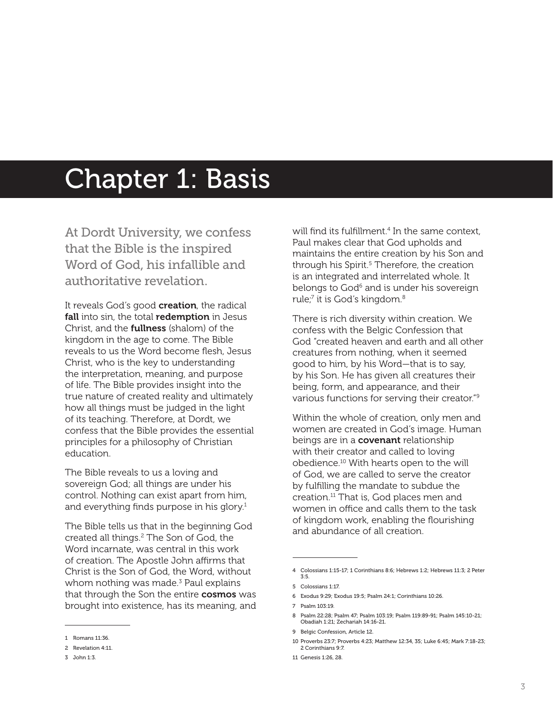### Chapter 1: Basis

At Dordt University, we confess that the Bible is the inspired Word of God, his infallible and authoritative revelation.

It reveals God's good creation, the radical fall into sin, the total redemption in Jesus Christ, and the fullness (shalom) of the kingdom in the age to come. The Bible reveals to us the Word become flesh, Jesus Christ, who is the key to understanding the interpretation, meaning, and purpose of life. The Bible provides insight into the true nature of created reality and ultimately how all things must be judged in the light of its teaching. Therefore, at Dordt, we confess that the Bible provides the essential principles for a philosophy of Christian education.

The Bible reveals to us a loving and sovereign God; all things are under his control. Nothing can exist apart from him, and everything finds purpose in his glory. $1$ 

The Bible tells us that in the beginning God created all things.2 The Son of God, the Word incarnate, was central in this work of creation. The Apostle John affirms that Christ is the Son of God, the Word, without whom nothing was made.<sup>3</sup> Paul explains that through the Son the entire **cosmos** was brought into existence, has its meaning, and will find its fulfillment.4 In the same context, Paul makes clear that God upholds and maintains the entire creation by his Son and through his Spirit.<sup>5</sup> Therefore, the creation is an integrated and interrelated whole. It belongs to God<sup>6</sup> and is under his sovereign rule;<sup>7</sup> it is God's kingdom.<sup>8</sup>

There is rich diversity within creation. We confess with the Belgic Confession that God "created heaven and earth and all other creatures from nothing, when it seemed good to him, by his Word—that is to say, by his Son. He has given all creatures their being, form, and appearance, and their various functions for serving their creator."9

Within the whole of creation, only men and women are created in God's image. Human beings are in a **covenant** relationship with their creator and called to loving obedience.10 With hearts open to the will of God, we are called to serve the creator by fulfilling the mandate to subdue the creation.11 That is, God places men and women in office and calls them to the task of kingdom work, enabling the flourishing and abundance of all creation.

6 Exodus 9:29; Exodus 19:5; Psalm 24:1; Corinthians 10:26.

<sup>1</sup> Romans 11:36.

<sup>2</sup> Revelation 4:11.

<sup>3</sup> John 1:3.

<sup>4</sup> Colossians 1:15-17; 1 Corinthians 8:6; Hebrews 1:2; Hebrews 11:3; 2 Peter 3:5.

<sup>5</sup> Colossians 1:17.

<sup>7</sup> Psalm 103:19.

<sup>8</sup> Psalm 22:28; Psalm 47; Psalm 103:19; Psalm 119:89-91; Psalm 145:10-21; Obadiah 1:21; Zechariah 14:16-21.

<sup>9</sup> Belaic Confession, Article 12.

<sup>10</sup> Proverbs 23:7; Proverbs 4:23; Matthew 12:34, 35; Luke 6:45; Mark 7:18-23; 2 Corinthians 9:7.

<sup>11</sup> Genesis 1:26, 28.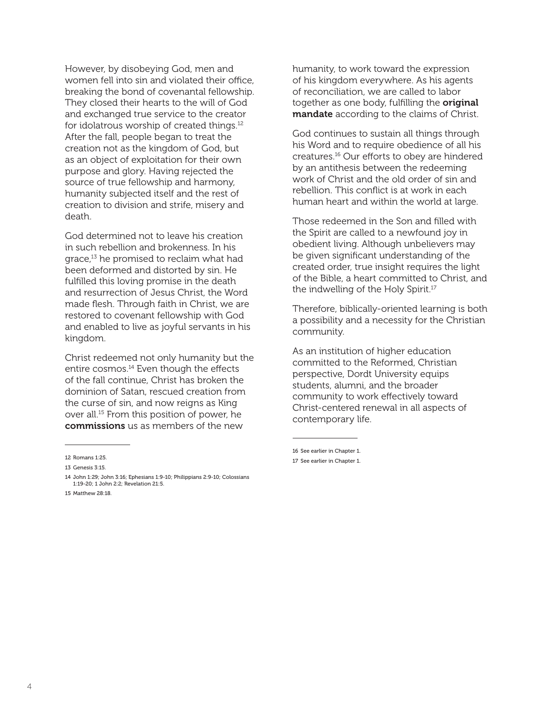However, by disobeying God, men and women fell into sin and violated their office, breaking the bond of covenantal fellowship. They closed their hearts to the will of God and exchanged true service to the creator for idolatrous worship of created things.12 After the fall, people began to treat the creation not as the kingdom of God, but as an object of exploitation for their own purpose and glory. Having rejected the source of true fellowship and harmony, humanity subjected itself and the rest of creation to division and strife, misery and death.

God determined not to leave his creation in such rebellion and brokenness. In his grace,13 he promised to reclaim what had been deformed and distorted by sin. He fulfilled this loving promise in the death and resurrection of Jesus Christ, the Word made flesh. Through faith in Christ, we are restored to covenant fellowship with God and enabled to live as joyful servants in his kingdom.

Christ redeemed not only humanity but the entire cosmos.14 Even though the effects of the fall continue, Christ has broken the dominion of Satan, rescued creation from the curse of sin, and now reigns as King over all.15 From this position of power, he commissions us as members of the new

humanity, to work toward the expression of his kingdom everywhere. As his agents of reconciliation, we are called to labor together as one body, fulfilling the **original** mandate according to the claims of Christ.

God continues to sustain all things through his Word and to require obedience of all his creatures.16 Our efforts to obey are hindered by an antithesis between the redeeming work of Christ and the old order of sin and rebellion. This conflict is at work in each human heart and within the world at large.

Those redeemed in the Son and filled with the Spirit are called to a newfound joy in obedient living. Although unbelievers may be given significant understanding of the created order, true insight requires the light of the Bible, a heart committed to Christ, and the indwelling of the Holy Spirit.<sup>17</sup>

Therefore, biblically-oriented learning is both a possibility and a necessity for the Christian community.

As an institution of higher education committed to the Reformed, Christian perspective, Dordt University equips students, alumni, and the broader community to work effectively toward Christ-centered renewal in all aspects of contemporary life.

16 See earlier in Chapter 1.

<sup>12</sup> Romans 1:25.

<sup>13</sup> Genesis 3:15.

<sup>14</sup> John 1:29; John 3:16; Ephesians 1:9-10; Philippians 2:9-10; Colossians 1:19-20; 1 John 2:2; Revelation 21:5.

<sup>15</sup> Matthew 28:18.

<sup>17</sup> See earlier in Chapter 1.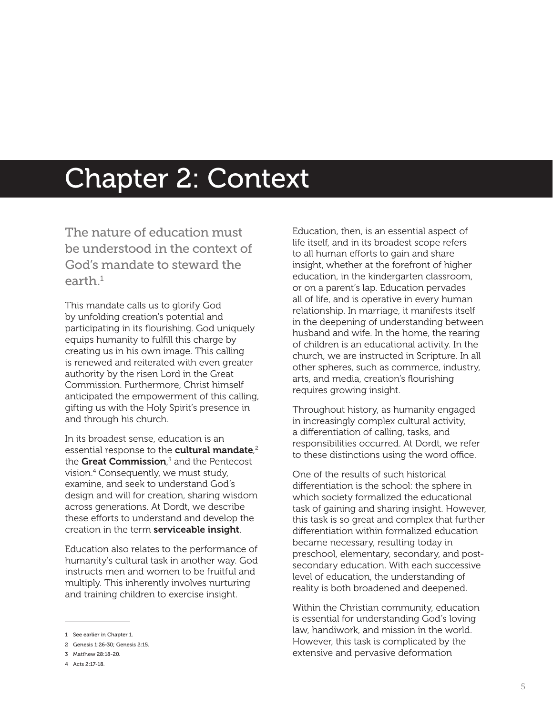### Chapter 2: Context

The nature of education must be understood in the context of God's mandate to steward the earth $1$ 

This mandate calls us to glorify God by unfolding creation's potential and participating in its flourishing. God uniquely equips humanity to fulfill this charge by creating us in his own image. This calling is renewed and reiterated with even greater authority by the risen Lord in the Great Commission. Furthermore, Christ himself anticipated the empowerment of this calling, gifting us with the Holy Spirit's presence in and through his church.

In its broadest sense, education is an essential response to the **cultural mandate**,<sup>2</sup> the Great Commission,<sup>3</sup> and the Pentecost vision.4 Consequently, we must study, examine, and seek to understand God's design and will for creation, sharing wisdom across generations. At Dordt, we describe these efforts to understand and develop the creation in the term serviceable insight.

Education also relates to the performance of humanity's cultural task in another way. God instructs men and women to be fruitful and multiply. This inherently involves nurturing and training children to exercise insight.

Education, then, is an essential aspect of life itself, and in its broadest scope refers to all human efforts to gain and share insight, whether at the forefront of higher education, in the kindergarten classroom, or on a parent's lap. Education pervades all of life, and is operative in every human relationship. In marriage, it manifests itself in the deepening of understanding between husband and wife. In the home, the rearing of children is an educational activity. In the church, we are instructed in Scripture. In all other spheres, such as commerce, industry, arts, and media, creation's flourishing requires growing insight.

Throughout history, as humanity engaged in increasingly complex cultural activity, a differentiation of calling, tasks, and responsibilities occurred. At Dordt, we refer to these distinctions using the word office.

One of the results of such historical differentiation is the school: the sphere in which society formalized the educational task of gaining and sharing insight. However, this task is so great and complex that further differentiation within formalized education became necessary, resulting today in preschool, elementary, secondary, and postsecondary education. With each successive level of education, the understanding of reality is both broadened and deepened.

Within the Christian community, education is essential for understanding God's loving law, handiwork, and mission in the world. However, this task is complicated by the extensive and pervasive deformation

<sup>1</sup> See earlier in Chapter 1.

<sup>2</sup> Genesis 1:26-30; Genesis 2:15.

<sup>3</sup> Matthew 28:18-20.

<sup>4</sup> Acts 2:17-18.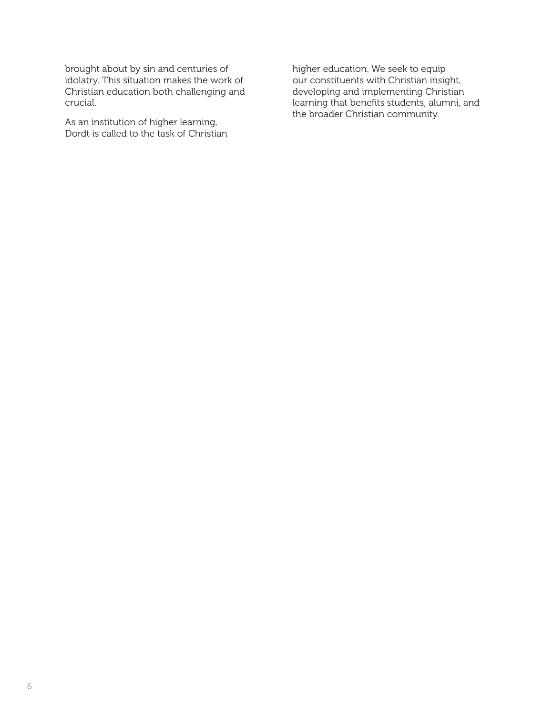brought about by sin and centuries of idolatry. This situation makes the work of Christian education both challenging and crucial.

As an institution of higher learning, Dordt is called to the task of Christian higher education. We seek to equip our constituents with Christian insight, developing and implementing Christian learning that benefits students, alumni, and the broader Christian community.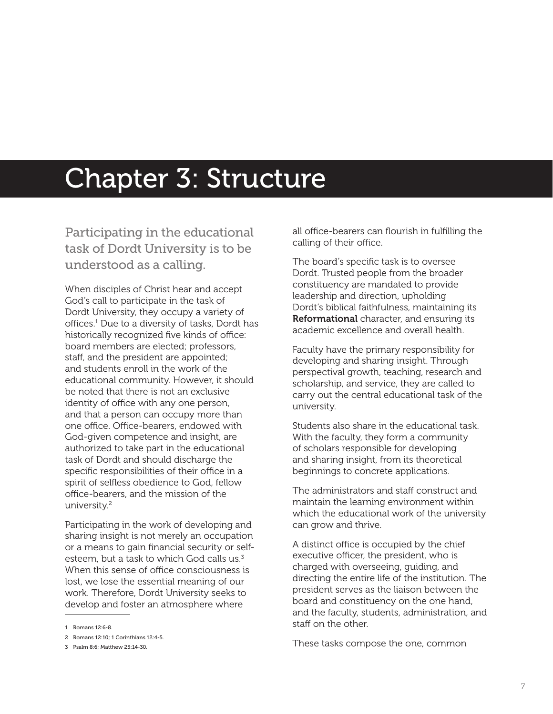### Chapter 3: Structure

Participating in the educational task of Dordt University is to be understood as a calling.

When disciples of Christ hear and accept God's call to participate in the task of Dordt University, they occupy a variety of offices.1 Due to a diversity of tasks, Dordt has historically recognized five kinds of office: board members are elected; professors, staff, and the president are appointed; and students enroll in the work of the educational community. However, it should be noted that there is not an exclusive identity of office with any one person, and that a person can occupy more than one office. Office-bearers, endowed with God-given competence and insight, are authorized to take part in the educational task of Dordt and should discharge the specific responsibilities of their office in a spirit of selfless obedience to God, fellow office-bearers, and the mission of the university.2

Participating in the work of developing and sharing insight is not merely an occupation or a means to gain financial security or selfesteem, but a task to which God calls us.<sup>3</sup> When this sense of office consciousness is lost, we lose the essential meaning of our work. Therefore, Dordt University seeks to develop and foster an atmosphere where

all office-bearers can flourish in fulfilling the calling of their office.

The board's specific task is to oversee Dordt. Trusted people from the broader constituency are mandated to provide leadership and direction, upholding Dordt's biblical faithfulness, maintaining its **Reformational** character, and ensuring its academic excellence and overall health.

Faculty have the primary responsibility for developing and sharing insight. Through perspectival growth, teaching, research and scholarship, and service, they are called to carry out the central educational task of the university.

Students also share in the educational task. With the faculty, they form a community of scholars responsible for developing and sharing insight, from its theoretical beginnings to concrete applications.

The administrators and staff construct and maintain the learning environment within which the educational work of the university can grow and thrive.

A distinct office is occupied by the chief executive officer, the president, who is charged with overseeing, guiding, and directing the entire life of the institution. The president serves as the liaison between the board and constituency on the one hand, and the faculty, students, administration, and staff on the other.

These tasks compose the one, common

<sup>1</sup> Romans 12:6-8.

<sup>2</sup> Romans 12:10; 1 Corinthians 12:4-5.

<sup>3</sup> Psalm 8:6; Matthew 25:14-30.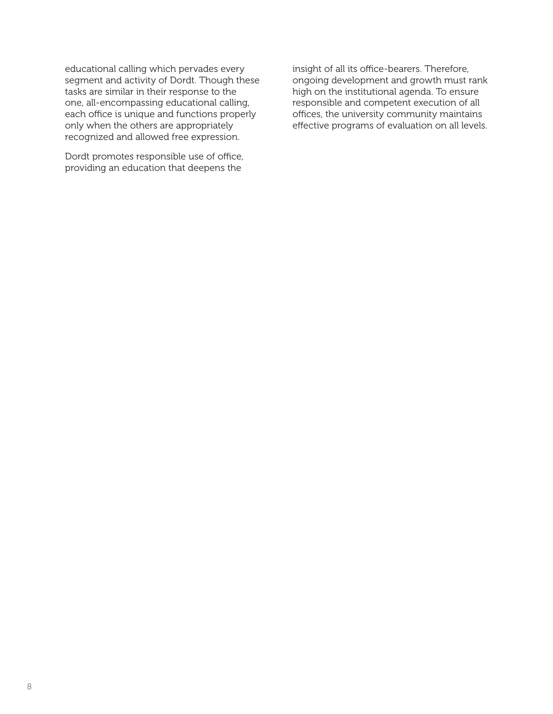educational calling which pervades every segment and activity of Dordt. Though these tasks are similar in their response to the one, all-encompassing educational calling, each office is unique and functions properly only when the others are appropriately recognized and allowed free expression.

Dordt promotes responsible use of office, providing an education that deepens the

insight of all its office-bearers. Therefore, ongoing development and growth must rank high on the institutional agenda. To ensure responsible and competent execution of all offices, the university community maintains effective programs of evaluation on all levels.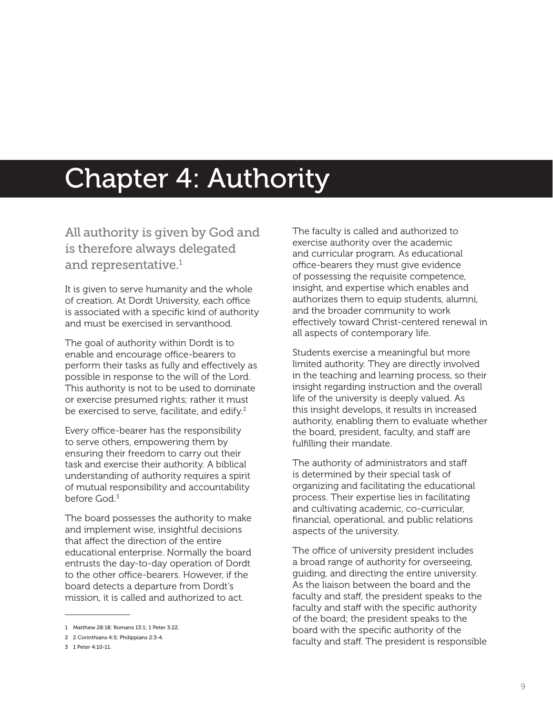### Chapter 4: Authority

All authority is given by God and is therefore always delegated and representative. $^{\rm 1}$ 

It is given to serve humanity and the whole of creation. At Dordt University, each office is associated with a specific kind of authority and must be exercised in servanthood.

The goal of authority within Dordt is to enable and encourage office-bearers to perform their tasks as fully and effectively as possible in response to the will of the Lord. This authority is not to be used to dominate or exercise presumed rights; rather it must be exercised to serve, facilitate, and edify.<sup>2</sup>

Every office-bearer has the responsibility to serve others, empowering them by ensuring their freedom to carry out their task and exercise their authority. A biblical understanding of authority requires a spirit of mutual responsibility and accountability before God $3$ 

The board possesses the authority to make and implement wise, insightful decisions that affect the direction of the entire educational enterprise. Normally the board entrusts the day-to-day operation of Dordt to the other office-bearers. However, if the board detects a departure from Dordt's mission, it is called and authorized to act.

The faculty is called and authorized to exercise authority over the academic and curricular program. As educational office-bearers they must give evidence of possessing the requisite competence, insight, and expertise which enables and authorizes them to equip students, alumni, and the broader community to work effectively toward Christ-centered renewal in all aspects of contemporary life.

Students exercise a meaningful but more limited authority. They are directly involved in the teaching and learning process, so their insight regarding instruction and the overall life of the university is deeply valued. As this insight develops, it results in increased authority, enabling them to evaluate whether the board, president, faculty, and staff are fulfilling their mandate.

The authority of administrators and staff is determined by their special task of organizing and facilitating the educational process. Their expertise lies in facilitating and cultivating academic, co-curricular, financial, operational, and public relations aspects of the university.

The office of university president includes a broad range of authority for overseeing, guiding, and directing the entire university. As the liaison between the board and the faculty and staff, the president speaks to the faculty and staff with the specific authority of the board; the president speaks to the board with the specific authority of the faculty and staff. The president is responsible

<sup>1</sup> Matthew 28:18; Romans 13:1; 1 Peter 3:22.

<sup>2</sup> 2 Corinthians 4:5; Philippians 2:3-4.

<sup>3</sup> 1 Peter 4:10-11.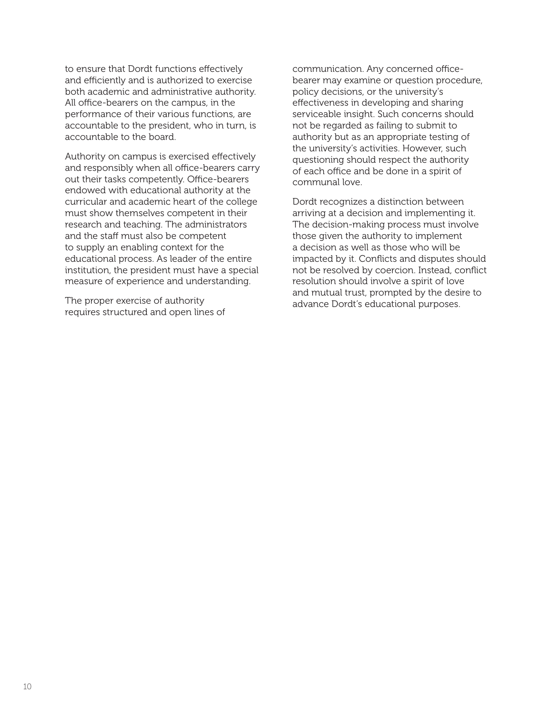to ensure that Dordt functions effectively and efficiently and is authorized to exercise both academic and administrative authority. All office-bearers on the campus, in the performance of their various functions, are accountable to the president, who in turn, is accountable to the board.

Authority on campus is exercised effectively and responsibly when all office-bearers carry out their tasks competently. Office-bearers endowed with educational authority at the curricular and academic heart of the college must show themselves competent in their research and teaching. The administrators and the staff must also be competent to supply an enabling context for the educational process. As leader of the entire institution, the president must have a special measure of experience and understanding.

The proper exercise of authority requires structured and open lines of communication. Any concerned officebearer may examine or question procedure, policy decisions, or the university's effectiveness in developing and sharing serviceable insight. Such concerns should not be regarded as failing to submit to authority but as an appropriate testing of the university's activities. However, such questioning should respect the authority of each office and be done in a spirit of communal love.

Dordt recognizes a distinction between arriving at a decision and implementing it. The decision-making process must involve those given the authority to implement a decision as well as those who will be impacted by it. Conflicts and disputes should not be resolved by coercion. Instead, conflict resolution should involve a spirit of love and mutual trust, prompted by the desire to advance Dordt's educational purposes.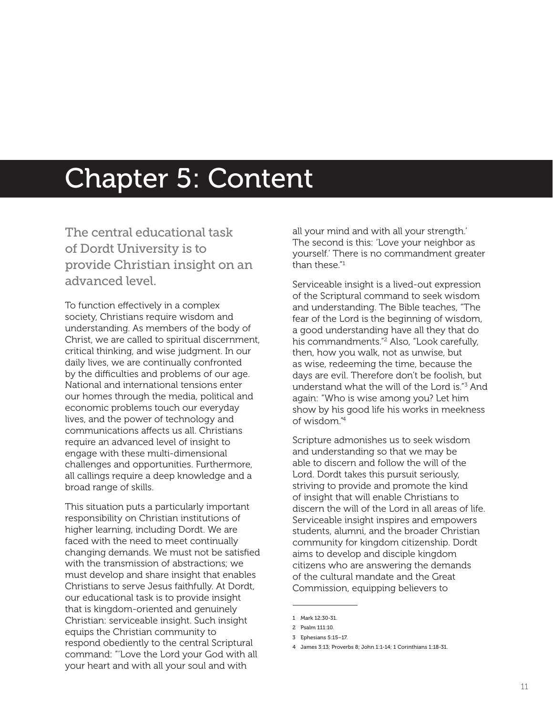### Chapter 5: Content

The central educational task of Dordt University is to provide Christian insight on an advanced level.

To function effectively in a complex society, Christians require wisdom and understanding. As members of the body of Christ, we are called to spiritual discernment, critical thinking, and wise judgment. In our daily lives, we are continually confronted by the difficulties and problems of our age. National and international tensions enter our homes through the media, political and economic problems touch our everyday lives, and the power of technology and communications affects us all. Christians require an advanced level of insight to engage with these multi-dimensional challenges and opportunities. Furthermore, all callings require a deep knowledge and a broad range of skills.

This situation puts a particularly important responsibility on Christian institutions of higher learning, including Dordt. We are faced with the need to meet continually changing demands. We must not be satisfied with the transmission of abstractions; we must develop and share insight that enables Christians to serve Jesus faithfully. At Dordt, our educational task is to provide insight that is kingdom-oriented and genuinely Christian: serviceable insight. Such insight equips the Christian community to respond obediently to the central Scriptural command: "'Love the Lord your God with all your heart and with all your soul and with

all your mind and with all your strength.' The second is this: 'Love your neighbor as yourself.' There is no commandment greater than these."1

Serviceable insight is a lived-out expression of the Scriptural command to seek wisdom and understanding. The Bible teaches, "The fear of the Lord is the beginning of wisdom, a good understanding have all they that do his commandments."2 Also, "Look carefully, then, how you walk, not as unwise, but as wise, redeeming the time, because the days are evil. Therefore don't be foolish, but understand what the will of the Lord is."3 And again: "Who is wise among you? Let him show by his good life his works in meekness of wisdom."4

Scripture admonishes us to seek wisdom and understanding so that we may be able to discern and follow the will of the Lord. Dordt takes this pursuit seriously, striving to provide and promote the kind of insight that will enable Christians to discern the will of the Lord in all areas of life. Serviceable insight inspires and empowers students, alumni, and the broader Christian community for kingdom citizenship. Dordt aims to develop and disciple kingdom citizens who are answering the demands of the cultural mandate and the Great Commission, equipping believers to

<sup>1</sup> Mark 12:30-31.

<sup>2</sup> Psalm 111:10.

<sup>3</sup> Ephesians 5:15–17.

<sup>4</sup> James 3:13; Proverbs 8; John 1:1-14; 1 Corinthians 1:18-31.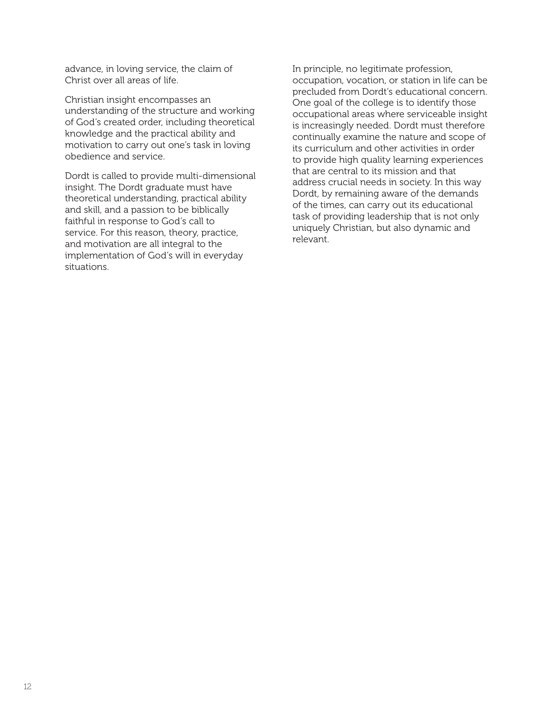advance, in loving service, the claim of Christ over all areas of life.

Christian insight encompasses an understanding of the structure and working of God's created order, including theoretical knowledge and the practical ability and motivation to carry out one's task in loving obedience and service.

Dordt is called to provide multi-dimensional insight. The Dordt graduate must have theoretical understanding, practical ability and skill, and a passion to be biblically faithful in response to God's call to service. For this reason, theory, practice, and motivation are all integral to the implementation of God's will in everyday situations.

In principle, no legitimate profession, occupation, vocation, or station in life can be precluded from Dordt's educational concern. One goal of the college is to identify those occupational areas where serviceable insight is increasingly needed. Dordt must therefore continually examine the nature and scope of its curriculum and other activities in order to provide high quality learning experiences that are central to its mission and that address crucial needs in society. In this way Dordt, by remaining aware of the demands of the times, can carry out its educational task of providing leadership that is not only uniquely Christian, but also dynamic and relevant.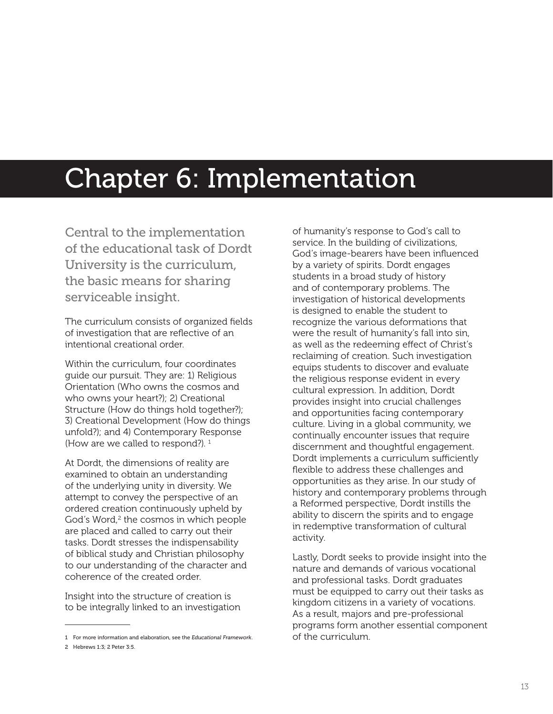## Chapter 6: Implementation

Central to the implementation of the educational task of Dordt University is the curriculum, the basic means for sharing serviceable insight.

The curriculum consists of organized fields of investigation that are reflective of an intentional creational order.

Within the curriculum, four coordinates guide our pursuit. They are: 1) Religious Orientation (Who owns the cosmos and who owns your heart?); 2) Creational Structure (How do things hold together?); 3) Creational Development (How do things unfold?); and 4) Contemporary Response (How are we called to respond?).  $1$ 

At Dordt, the dimensions of reality are examined to obtain an understanding of the underlying unity in diversity. We attempt to convey the perspective of an ordered creation continuously upheld by God's Word,<sup>2</sup> the cosmos in which people are placed and called to carry out their tasks. Dordt stresses the indispensability of biblical study and Christian philosophy to our understanding of the character and coherence of the created order.

Insight into the structure of creation is to be integrally linked to an investigation of humanity's response to God's call to service. In the building of civilizations, God's image-bearers have been influenced by a variety of spirits. Dordt engages students in a broad study of history and of contemporary problems. The investigation of historical developments is designed to enable the student to recognize the various deformations that were the result of humanity's fall into sin, as well as the redeeming effect of Christ's reclaiming of creation. Such investigation equips students to discover and evaluate the religious response evident in every cultural expression. In addition, Dordt provides insight into crucial challenges and opportunities facing contemporary culture. Living in a global community, we continually encounter issues that require discernment and thoughtful engagement. Dordt implements a curriculum sufficiently flexible to address these challenges and opportunities as they arise. In our study of history and contemporary problems through a Reformed perspective, Dordt instills the ability to discern the spirits and to engage in redemptive transformation of cultural activity.

Lastly, Dordt seeks to provide insight into the nature and demands of various vocational and professional tasks. Dordt graduates must be equipped to carry out their tasks as kingdom citizens in a variety of vocations. As a result, majors and pre-professional programs form another essential component of the curriculum.

<sup>1</sup> For more information and elaboration, see the *Educational Framework*.

<sup>2</sup> Hebrews 1:3; 2 Peter 3:5.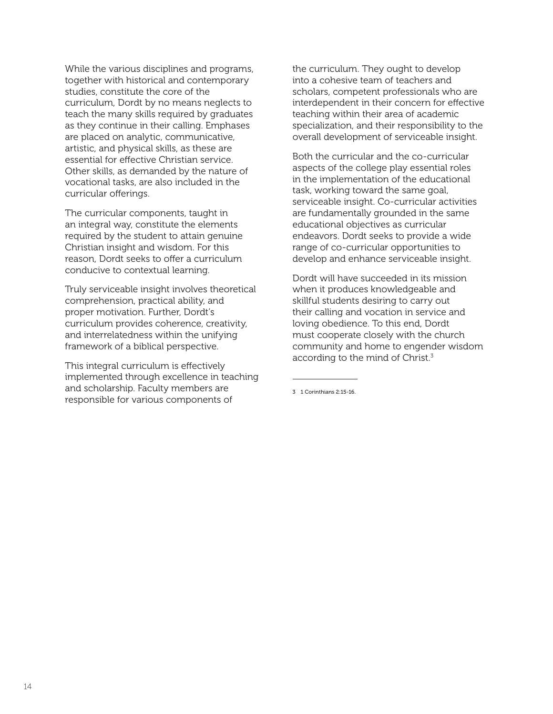While the various disciplines and programs, together with historical and contemporary studies, constitute the core of the curriculum, Dordt by no means neglects to teach the many skills required by graduates as they continue in their calling. Emphases are placed on analytic, communicative, artistic, and physical skills, as these are essential for effective Christian service. Other skills, as demanded by the nature of vocational tasks, are also included in the curricular offerings.

The curricular components, taught in an integral way, constitute the elements required by the student to attain genuine Christian insight and wisdom. For this reason, Dordt seeks to offer a curriculum conducive to contextual learning.

Truly serviceable insight involves theoretical comprehension, practical ability, and proper motivation. Further, Dordt's curriculum provides coherence, creativity, and interrelatedness within the unifying framework of a biblical perspective.

This integral curriculum is effectively implemented through excellence in teaching and scholarship. Faculty members are responsible for various components of

the curriculum. They ought to develop into a cohesive team of teachers and scholars, competent professionals who are interdependent in their concern for effective teaching within their area of academic specialization, and their responsibility to the overall development of serviceable insight.

Both the curricular and the co-curricular aspects of the college play essential roles in the implementation of the educational task, working toward the same goal, serviceable insight. Co-curricular activities are fundamentally grounded in the same educational objectives as curricular endeavors. Dordt seeks to provide a wide range of co-curricular opportunities to develop and enhance serviceable insight.

Dordt will have succeeded in its mission when it produces knowledgeable and skillful students desiring to carry out their calling and vocation in service and loving obedience. To this end, Dordt must cooperate closely with the church community and home to engender wisdom according to the mind of Christ.<sup>3</sup>

<sup>3</sup> 1 Corinthians 2:15-16.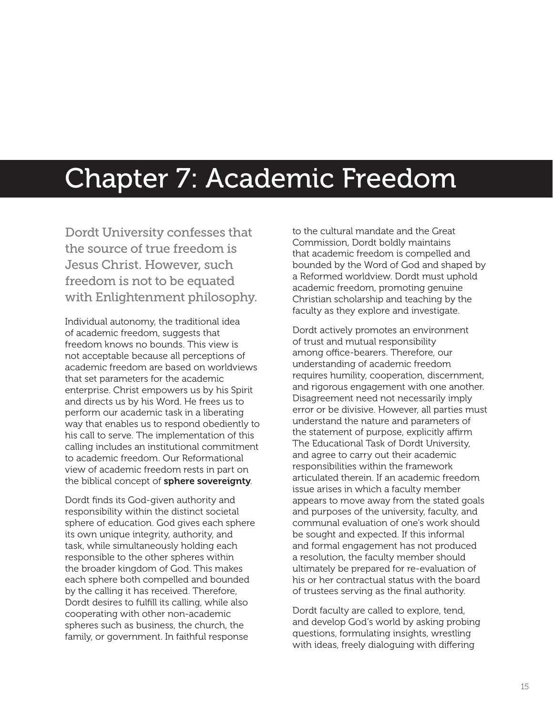### Chapter 7: Academic Freedom

Dordt University confesses that the source of true freedom is Jesus Christ. However, such freedom is not to be equated with Enlightenment philosophy.

Individual autonomy, the traditional idea of academic freedom, suggests that freedom knows no bounds. This view is not acceptable because all perceptions of academic freedom are based on worldviews that set parameters for the academic enterprise. Christ empowers us by his Spirit and directs us by his Word. He frees us to perform our academic task in a liberating way that enables us to respond obediently to his call to serve. The implementation of this calling includes an institutional commitment to academic freedom. Our Reformational view of academic freedom rests in part on the biblical concept of sphere sovereignty.

Dordt finds its God-given authority and responsibility within the distinct societal sphere of education. God gives each sphere its own unique integrity, authority, and task, while simultaneously holding each responsible to the other spheres within the broader kingdom of God. This makes each sphere both compelled and bounded by the calling it has received. Therefore, Dordt desires to fulfill its calling, while also cooperating with other non-academic spheres such as business, the church, the family, or government. In faithful response

to the cultural mandate and the Great Commission, Dordt boldly maintains that academic freedom is compelled and bounded by the Word of God and shaped by a Reformed worldview. Dordt must uphold academic freedom, promoting genuine Christian scholarship and teaching by the faculty as they explore and investigate.

Dordt actively promotes an environment of trust and mutual responsibility among office-bearers. Therefore, our understanding of academic freedom requires humility, cooperation, discernment, and rigorous engagement with one another. Disagreement need not necessarily imply error or be divisive. However, all parties must understand the nature and parameters of the statement of purpose, explicitly affirm The Educational Task of Dordt University, and agree to carry out their academic responsibilities within the framework articulated therein. If an academic freedom issue arises in which a faculty member appears to move away from the stated goals and purposes of the university, faculty, and communal evaluation of one's work should be sought and expected. If this informal and formal engagement has not produced a resolution, the faculty member should ultimately be prepared for re-evaluation of his or her contractual status with the board of trustees serving as the final authority.

Dordt faculty are called to explore, tend, and develop God's world by asking probing questions, formulating insights, wrestling with ideas, freely dialoguing with differing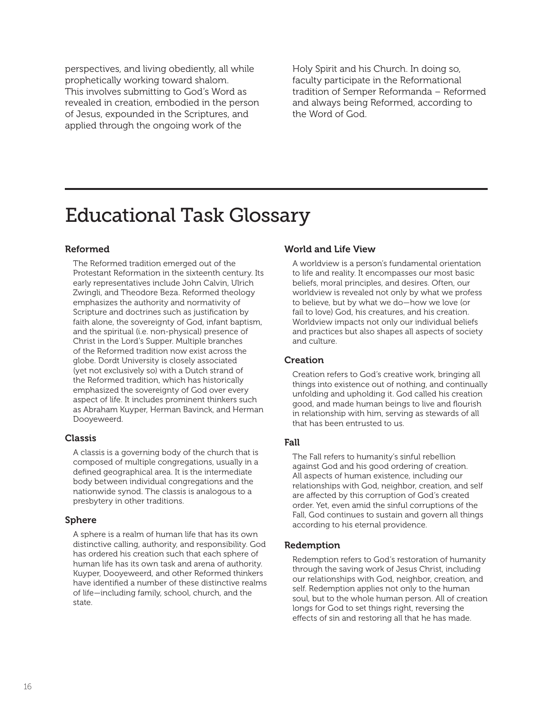perspectives, and living obediently, all while prophetically working toward shalom. This involves submitting to God's Word as revealed in creation, embodied in the person of Jesus, expounded in the Scriptures, and applied through the ongoing work of the

Holy Spirit and his Church. In doing so, faculty participate in the Reformational tradition of Semper Reformanda – Reformed and always being Reformed, according to the Word of God.

### Educational Task Glossary

#### Reformed

The Reformed tradition emerged out of the Protestant Reformation in the sixteenth century. Its early representatives include John Calvin, Ulrich Zwingli, and Theodore Beza. Reformed theology emphasizes the authority and normativity of Scripture and doctrines such as justification by faith alone, the sovereignty of God, infant baptism, and the spiritual (i.e. non-physical) presence of Christ in the Lord's Supper. Multiple branches of the Reformed tradition now exist across the globe. Dordt University is closely associated (yet not exclusively so) with a Dutch strand of the Reformed tradition, which has historically emphasized the sovereignty of God over every aspect of life. It includes prominent thinkers such as Abraham Kuyper, Herman Bavinck, and Herman Dooyeweerd.

#### Classis

A classis is a governing body of the church that is composed of multiple congregations, usually in a defined geographical area. It is the intermediate body between individual congregations and the nationwide synod. The classis is analogous to a presbytery in other traditions.

#### Sphere

A sphere is a realm of human life that has its own distinctive calling, authority, and responsibility. God has ordered his creation such that each sphere of human life has its own task and arena of authority. Kuyper, Dooyeweerd, and other Reformed thinkers have identified a number of these distinctive realms of life—including family, school, church, and the state.

#### World and Life View

A worldview is a person's fundamental orientation to life and reality. It encompasses our most basic beliefs, moral principles, and desires. Often, our worldview is revealed not only by what we profess to believe, but by what we do—how we love (or fail to love) God, his creatures, and his creation. Worldview impacts not only our individual beliefs and practices but also shapes all aspects of society and culture.

#### Creation

Creation refers to God's creative work, bringing all things into existence out of nothing, and continually unfolding and upholding it. God called his creation good, and made human beings to live and flourish in relationship with him, serving as stewards of all that has been entrusted to us.

#### Fall

The Fall refers to humanity's sinful rebellion against God and his good ordering of creation. All aspects of human existence, including our relationships with God, neighbor, creation, and self are affected by this corruption of God's created order. Yet, even amid the sinful corruptions of the Fall, God continues to sustain and govern all things according to his eternal providence.

#### Redemption

Redemption refers to God's restoration of humanity through the saving work of Jesus Christ, including our relationships with God, neighbor, creation, and self. Redemption applies not only to the human soul, but to the whole human person. All of creation longs for God to set things right, reversing the effects of sin and restoring all that he has made.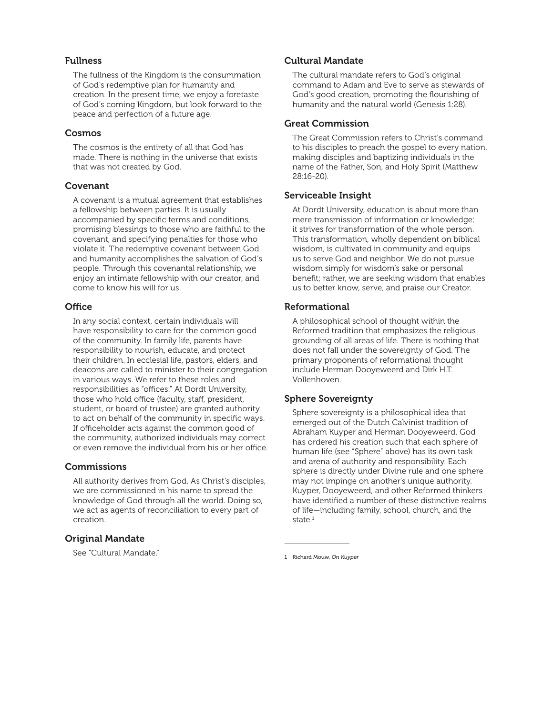#### Fullness

The fullness of the Kingdom is the consummation of God's redemptive plan for humanity and creation. In the present time, we enjoy a foretaste of God's coming Kingdom, but look forward to the peace and perfection of a future age.

#### Cosmos

The cosmos is the entirety of all that God has made. There is nothing in the universe that exists that was not created by God.

#### Covenant

A covenant is a mutual agreement that establishes a fellowship between parties. It is usually accompanied by specific terms and conditions, promising blessings to those who are faithful to the covenant, and specifying penalties for those who violate it. The redemptive covenant between God and humanity accomplishes the salvation of God's people. Through this covenantal relationship, we enjoy an intimate fellowship with our creator, and come to know his will for us.

#### **Office**

In any social context, certain individuals will have responsibility to care for the common good of the community. In family life, parents have responsibility to nourish, educate, and protect their children. In ecclesial life, pastors, elders, and deacons are called to minister to their congregation in various ways. We refer to these roles and responsibilities as "offices." At Dordt University, those who hold office (faculty, staff, president, student, or board of trustee) are granted authority to act on behalf of the community in specific ways. If officeholder acts against the common good of the community, authorized individuals may correct or even remove the individual from his or her office.

#### **Commissions**

All authority derives from God. As Christ's disciples, we are commissioned in his name to spread the knowledge of God through all the world. Doing so, we act as agents of reconciliation to every part of creation.

#### Original Mandate

See "Cultural Mandate."

#### Cultural Mandate

The cultural mandate refers to God's original command to Adam and Eve to serve as stewards of God's good creation, promoting the flourishing of humanity and the natural world (Genesis 1:28).

#### Great Commission

The Great Commission refers to Christ's command to his disciples to preach the gospel to every nation, making disciples and baptizing individuals in the name of the Father, Son, and Holy Spirit (Matthew 28:16-20).

#### Serviceable Insight

At Dordt University, education is about more than mere transmission of information or knowledge; it strives for transformation of the whole person. This transformation, wholly dependent on biblical wisdom, is cultivated in community and equips us to serve God and neighbor. We do not pursue wisdom simply for wisdom's sake or personal benefit; rather, we are seeking wisdom that enables us to better know, serve, and praise our Creator.

#### Reformational

A philosophical school of thought within the Reformed tradition that emphasizes the religious grounding of all areas of life. There is nothing that does not fall under the sovereignty of God. The primary proponents of reformational thought include Herman Dooyeweerd and Dirk H.T. Vollenhoven.

#### Sphere Sovereignty

Sphere sovereignty is a philosophical idea that emerged out of the Dutch Calvinist tradition of Abraham Kuyper and Herman Dooyeweerd. God has ordered his creation such that each sphere of human life (see "Sphere" above) has its own task and arena of authority and responsibility. Each sphere is directly under Divine rule and one sphere may not impinge on another's unique authority. Kuyper, Dooyeweerd, and other Reformed thinkers have identified a number of these distinctive realms of life—including family, school, church, and the state.<sup>1</sup>

1 Richard Mouw, *On Kuyper*